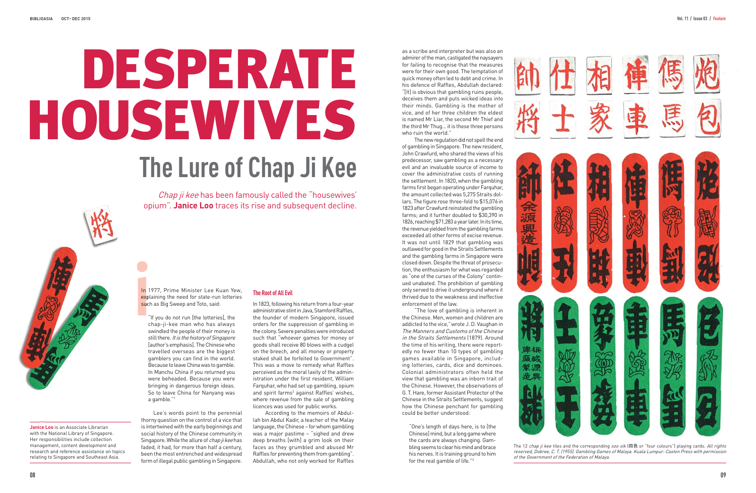Chap ji kee has been famously called the "housewives" opium". **Janice Loo** traces its rise and subsequent decline.

In 1977, Prime Minister Lee Kuan Yew, explaining the need for state-run lotteries such as Big Sweep and Toto, said: in 19<br>
explanation<br>
in the contract of the contract of the contract of the contract of the contract of the contract of the contract of the contract of the contract of the contract of the contract of the contract of the con

"If you do not run [the lotteries], the chap-ji-kee man who has always swindled the people of their money is still there. It is the history of Singapore [author's emphasis]. The Chinese who travelled overseas are the biggest gamblers you can find in the world. Because to leave China was to gamble. In Manchu China if you returned you were beheaded. Because you were bringing in dangerous foreign ideas. So to leave China for Nanyang was a gamble."1

Lee's words point to the perennial thorny question on the control of a vice that is intertwined with the early beginnings and social history of the Chinese community in Singapore. While the allure of *chap ji kee* has faded, it had, for more than half a century, been the most entrenched and widespread form of illegal public gambling in Singapore.

# **The Root of All Evil**



The 12 chap ji kee tiles and the corresponding soo sik  $[III ②$  or "four colours") playing cards. All rights reserved, Dobree, C. T. (1955). Gambling Games of Malaya. Kuala Lumpur: Caxton Press with permission of the Government of the Federation of Malaya.

In 1823, following his return from a four-year administrative stint in Java, Stamford Raffles, the founder of modern Singapore, issued orders for the suppression of gambling in the colony. Severe penalties were introduced such that "whoever games for money or goods shall receive 80 blows with a cudgel on the breech, and all money or property staked shall be forfeited to Government". This was a move to remedy what Raffles perceived as the moral laxity of the administration under the first resident, William Farquhar, who had set up gambling, opium and spirit farms<sup>2</sup> against Raffles' wishes, where revenue from the sale of gambling licences was used for public works.

According to the memoirs of Abdullah bin Abdul Kadir, a teacher of the Malay language, the Chinese – for whom gambling was a major pastime – "sighed and drew deep breaths [with] a grim look on their faces as they grumbled and abused Mr Raffles for preventing them from gambling". Abdullah, who not only worked for Raffles

# **The Lure of Chap Ji Kee** DESPERATE HOUSEWIVES

**Janice Loo** is an Associate Librarian with the National Library of Singapore. Her responsibilities include collection management, content development and research and reference assistance on topics relating to Singapore and Southeast Asia.



as a scribe and interpreter but was also an admirer of the man, castigated the naysayers for failing to recognise that the measures were for their own good. The temptation of quick money often led to debt and crime. In his defence of Raffles, Abdullah declared: "[It] is obvious that gambling ruins people, deceives them and puts wicked ideas into their minds. Gambling is the mother of vice, and of her three children the eldest is named Mr Liar, the second Mr Thief and the third Mr Thug... it is these three persons who ruin the world."

The new regulation did not spell the end of gambling in Singapore. The new resident, John Crawfurd, who shared the views of his predecessor, saw gambling as a necessary evil and an invaluable source of income to cover the administrative costs of running the settlement. In 1820, when the gambling farms first began operating under Farquhar, the amount collected was 5,275 Straits dollars. The figure rose three-fold to \$15,076 in 1823 after Crawfurd reinstated the gambling farms; and it further doubled to \$30,390 in 1826, reaching \$71,283 a year later. In its time, the revenue yielded from the gambling farms exceeded all other forms of excise revenue. It was not until 1829 that gambling was outlawed for good in the Straits Settlements and the gambling farms in Singapore were closed down. Despite the threat of prosecution, the enthusiasm for what was regarded as "one of the curses of the Colony" continued unabated. The prohibition of gambling only served to drive it underground where it thrived due to the weakness and ineffective enforcement of the law.

"The love of gambling is inherent in the Chinese. Men, women and children are addicted to the vice,"wrote J. D. Vaughan in The Manners and Customs of the Chinese in the Straits Settlements (1879). Around the time of his writing, there were reportedly no fewer than 10 types of gambling games available in Singapore, including lotteries, cards, dice and dominoes. Colonial administrators often held the view that gambling was an inborn trait of the Chinese. However, the observations of G. T. Hare, former Assistant Protector of the Chinese in the Straits Settlements, suggest how the Chinese penchant for gambling could be better understood:

"One's length of days here, is to [the Chinese] mind, but a long game where the cards are always changing. Gambling seems to clear his mind and brace his nerves. It is training ground to him for the real gamble of life."3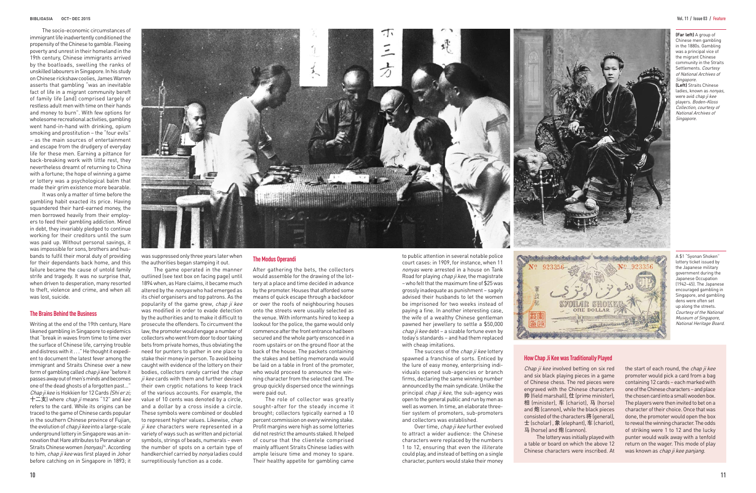The socio-economic circumstances of immigrant life inadvertently conditioned the propensity of the Chinese to gamble. Fleeing poverty and unrest in their homeland in the 19th century, Chinese immigrants arrived by the boatloads, swelling the ranks of unskilled labourers in Singapore. In his study on Chinese rickshaw coolies, James Warren asserts that gambling "was an inevitable fact of life in a migrant community bereft of family life [and] comprised largely of restless adult men with time on their hands and money to burn". With few options for wholesome recreational activities, gambling went hand-in-hand with drinking, opium smoking and prostitution – the "four evils" – as the main sources of entertainment and escape from the drudgery of everyday life for these men. Earning a pittance for back-breaking work with little rest, they nevertheless dreamt of returning to China with a fortune; the hope of winning a game or lottery was a psychological balm that made their grim existence more bearable.

It was only a matter of time before the gambling habit exacted its price. Having squandered their hard-earned money, the men borrowed heavily from their employers to feed their gambling addiction. Mired in debt, they invariably pledged to continue working for their creditors until the sum was paid up. Without personal savings, it was impossible for sons, brothers and husbands to fulfil their moral duty of providing for their dependants back home, and this failure became the cause of untold family strife and tragedy. It was no surprise that, when driven to desperation, many resorted to theft, violence and crime, and when all was lost, suicide.

### **The Brains Behind the Business**

Writing at the end of the 19th century, Hare likened gambling in Singapore to epidemics that "break in waves from time to time over the surface of Chinese life, carrying trouble and distress with it . . ." He thought it expedient to document the latest fever among the immigrant and Straits Chinese over a new form of gambling called *chap ji kee* "before it passes away out of men's minds and becomes one of the dead ghosts of a forgotten past..." Chap ji kee is Hokkien for 12 Cards (Shi er zi: 十二支) where *chap ji* means "12" and kee refers to the card. While its origins can be traced to the game of Chinese cards popular in the southern Chinese province of Fujian, the evolution of *chap ji kee* into a large-scale underground lottery in Singapore was an innovation that Hare attributes to Peranakan or Straits Chinese women (nonyas)<sup>4</sup>. According to him, chap ji kee was first played in Johor before catching on in Singapore in 1893; it



was suppressed only three years later when the authorities began stamping it out.

> Chap ji kee involved betting on six red and six black playing pieces in a game of Chinese chess. The red pieces were engraved with the Chinese characters 帅 (field marshall), 仕 (prime minister), 相 (minister), 车 (chariot), 马 (horse) and 炮 (cannon), while the black pieces consisted of the characters 将 (general), 士 (scholar) , 象 (elephant), 车 (chariot), 马 (horse) and 炮 (cannon). The lottery was initially played with a table or board on which the above 12 Chinese characters were inscribed. At

the start of each round, the chap ji kee promoter would pick a card from a bag containing 12 cards – each marked with one of the Chinese characters – and place the chosen card into a small wooden box. The players were then invited to bet on a character of their choice. Once that was done, the promoter would open the box to reveal the winning character. The odds of striking were 1 to 12 and the lucky punter would walk away with a tenfold return on the wager. This mode of play was known as chap ji kee panjang.

**(Far left)** A group of Chinese men gambling in the 1880s. Gambling was a principal vice of the migrant Chinese community in the Straits Settlements. Courtesy of National Archives of **Singapore** 

The game operated in the manner outlined (see text box on facing page) until 1894 when, as Hare claims, it became much altered by the nonyas who had emerged as its chief organisers and top patrons. As the popularity of the game grew, chap ji kee was modified in order to evade detection by the authorities and to make it difficult to prosecute the offenders. To circumvent the law, the promoter would engage a number of collectors who went from door to door taking bets from private homes, thus obviating the need for punters to gather in one place to stake their money in person. To avoid being caught with evidence of the lottery on their bodies, collectors rarely carried the chap ji kee cards with them and further devised their own cryptic notations to keep track of the various accounts. For example, the value of 10 cents was denoted by a circle, and a dollar by a cross inside a circle. These symbols were combined or doubled to represent higher values. Likewise, chap ji kee characters were represented in a variety of ways such as written and pictorial symbols, strings of beads, numerals – even the number of spots on a certain type of handkerchief carried by nonya ladies could surreptitiously function as a code.

The success of the *chap ji kee* lottery spawned a franchise of sorts. Enticed by the lure of easy money, enterprising individuals opened sub-agencies or branch firms, declaring the same winning number announced by the main syndicate. Unlike the principal *chap ji kee*, the sub-agency was open to the general public and run by men as well as women. In time, an elaborate threetier system of promoters, sub-promoters and collectors was established.

#### **The Modus Operandi**

Over time, chap ji kee further evolved to attract a wider audience: the Chinese characters were replaced by the numbers 1 to 12, ensuring that even the illiterate could play, and instead of betting on a single character, punters would stake their money



After gathering the bets, the collectors would assemble for the drawing of the lottery at a place and time decided in advance by the promoter. Houses that afforded some means of quick escape through a backdoor or over the roofs of neighbouring houses onto the streets were usually selected as the venue. With informants hired to keep a lookout for the police, the game would only commence after the front entrance had been secured and the whole party ensconced in a room upstairs or on the ground floor at the back of the house. The packets containing the stakes and betting memoranda would be laid on a table in front of the promoter, who would proceed to announce the winning character from the selected card. The group quickly dispersed once the winnings were paid out.

The role of collector was greatly sought-after for the steady income it brought; collectors typically earned a 10 percent commission on every winning stake. Profit margins were high as some lotteries did not restrict the amounts staked. It helped of course that the clientele comprised mainly affluent Straits Chinese ladies with ample leisure time and money to spare. Their healthy appetite for gambling came

# **How Chap Ji Kee was Traditionally Played**

**(Left)** Straits Chinese ladies, known as nonyas, were avid chap ji kee players. Boden-Kloss Collection, courtesy of National Archives of Singapore.

A \$1 "Syonan Shoken" lottery ticket issued by the Japanese military government during the Japanese Occupation (1942–45). The Japanese encouraged gambling in Singapore, and gambling dens were often set up along the streets. Courtesy of the National Museum of Singapore, National Heritage Board.

to public attention in several notable police court cases: in 1909, for instance, when 11 nonyas were arrested in a house on Tank Road for playing *chap ji kee*, the magistrate – who felt that the maximum fine of \$25 was grossly inadequate as punishment – sagely advised their husbands to let the women be imprisoned for two weeks instead of paying a fine. In another interesting case, the wife of a wealthy Chinese gentleman pawned her jewellery to settle a \$50,000 *chap ji kee* debt – a sizable fortune even by today's standards – and had them replaced with cheap imitations.